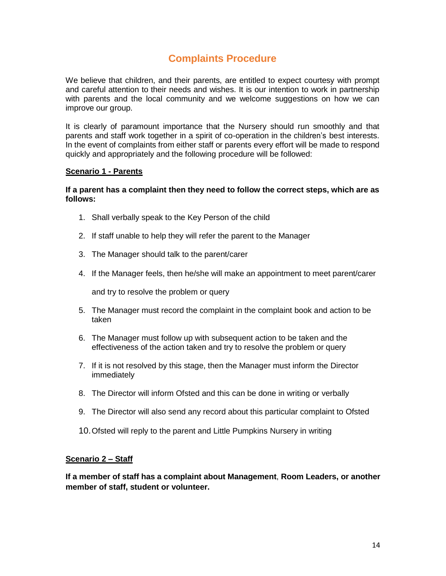# **Complaints Procedure**

We believe that children, and their parents, are entitled to expect courtesy with prompt and careful attention to their needs and wishes. It is our intention to work in partnership with parents and the local community and we welcome suggestions on how we can improve our group.

It is clearly of paramount importance that the Nursery should run smoothly and that parents and staff work together in a spirit of co-operation in the children's best interests. In the event of complaints from either staff or parents every effort will be made to respond quickly and appropriately and the following procedure will be followed:

## **Scenario 1 - Parents**

## **If a parent has a complaint then they need to follow the correct steps, which are as follows:**

- 1. Shall verbally speak to the Key Person of the child
- 2. If staff unable to help they will refer the parent to the Manager
- 3. The Manager should talk to the parent/carer
- 4. If the Manager feels, then he/she will make an appointment to meet parent/carer

and try to resolve the problem or query

- 5. The Manager must record the complaint in the complaint book and action to be taken
- 6. The Manager must follow up with subsequent action to be taken and the effectiveness of the action taken and try to resolve the problem or query
- 7. If it is not resolved by this stage, then the Manager must inform the Director immediately
- 8. The Director will inform Ofsted and this can be done in writing or verbally
- 9. The Director will also send any record about this particular complaint to Ofsted
- 10.Ofsted will reply to the parent and Little Pumpkins Nursery in writing

## **Scenario 2 – Staff**

**If a member of staff has a complaint about Management**, **Room Leaders, or another member of staff, student or volunteer.**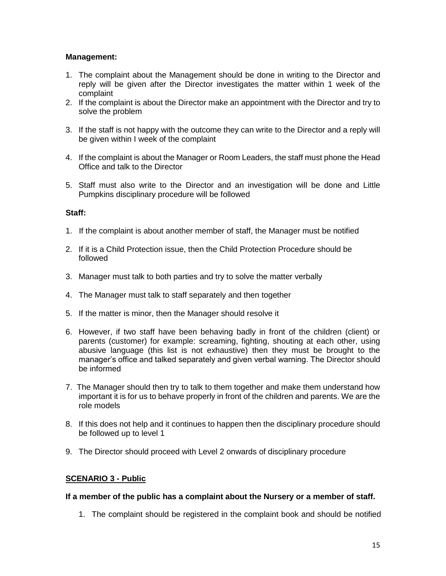# **Management:**

- 1. The complaint about the Management should be done in writing to the Director and reply will be given after the Director investigates the matter within 1 week of the complaint
- 2. If the complaint is about the Director make an appointment with the Director and try to solve the problem
- 3. If the staff is not happy with the outcome they can write to the Director and a reply will be given within I week of the complaint
- 4. If the complaint is about the Manager or Room Leaders, the staff must phone the Head Office and talk to the Director
- 5. Staff must also write to the Director and an investigation will be done and Little Pumpkins disciplinary procedure will be followed

## **Staff:**

- 1. If the complaint is about another member of staff, the Manager must be notified
- 2. If it is a Child Protection issue, then the Child Protection Procedure should be followed
- 3. Manager must talk to both parties and try to solve the matter verbally
- 4. The Manager must talk to staff separately and then together
- 5. If the matter is minor, then the Manager should resolve it
- 6. However, if two staff have been behaving badly in front of the children (client) or parents (customer) for example: screaming, fighting, shouting at each other, using abusive language (this list is not exhaustive) then they must be brought to the manager's office and talked separately and given verbal warning. The Director should be informed
- 7. The Manager should then try to talk to them together and make them understand how important it is for us to behave properly in front of the children and parents. We are the role models
- 8. If this does not help and it continues to happen then the disciplinary procedure should be followed up to level 1
- 9. The Director should proceed with Level 2 onwards of disciplinary procedure

## **SCENARIO 3 - Public**

## **If a member of the public has a complaint about the Nursery or a member of staff.**

1. The complaint should be registered in the complaint book and should be notified